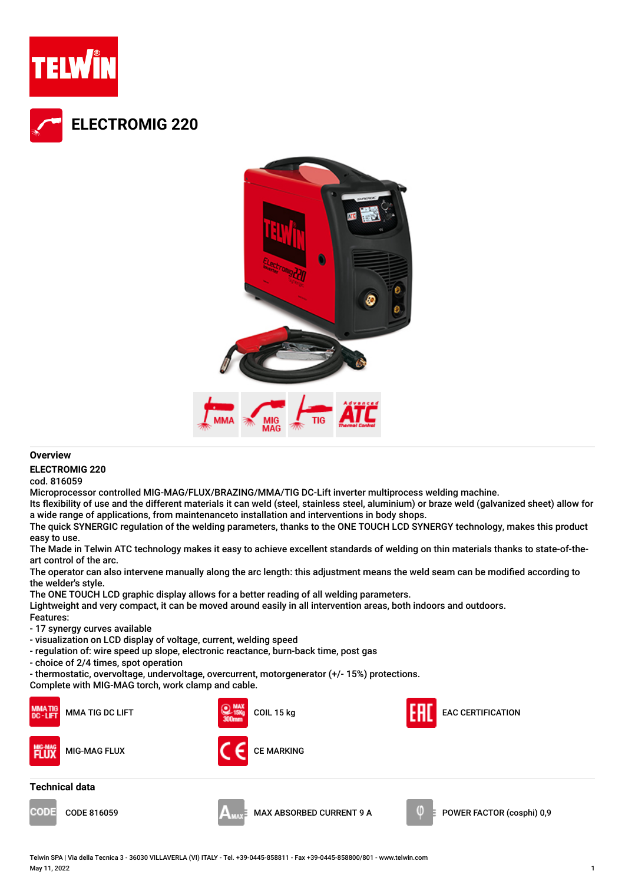



## **Overview**

**ELECTROMIG 220**

cod. 816059

Microprocessor controlled MIG-MAG/FLUX/BRAZING/MMA/TIG DC-Lift inverter multiprocess welding machine.

Its flexibility of use and the different materials it can weld (steel, stainless steel, aluminium) or braze weld (galvanized sheet) allow for a wide range of applications, from maintenanceto installation and interventions in body shops.

The quick SYNERGIC regulation of the welding parameters, thanks to the ONE TOUCH LCD SYNERGY technology, makes this product easy to use.

The Made in Telwin ATC technology makes it easy to achieve excellent standards of welding on thin materials thanks to state-of-theart control of the arc.

The operator can also intervene manually along the arc length: this adjustment means the weld seam can be modified according to the welder's style.

The ONE TOUCH LCD graphic display allows for a better reading of all welding parameters.

Lightweight and very compact, it can be moved around easily in all intervention areas, both indoors and outdoors. Features:

- 17 synergy curves available

- visualization on LCD display of voltage, current, welding speed
- regulation of: wire speed up slope, electronic reactance, burn-back time, post gas
- choice of 2/4 times, spot operation
- thermostatic, overvoltage, undervoltage, overcurrent, motorgenerator (+/- 15%) protections.

Complete with MIG-MAG torch, work clamp and cable.



Telwin SPA | Via della Tecnica 3 - 36030 VILLAVERLA (VI) ITALY - Tel. +39-0445-858811 - Fax +39-0445-858800/801 - www.telwin.com May 11, 2022 1